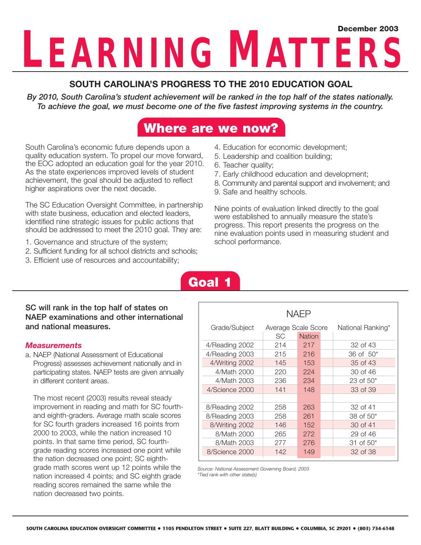# **LEARNING MATTERS December 2003**

### **SOUTH CAROLINA'S PROGRESS TO THE 2010 EDUCATION GOAL**

*By 2010, South Carolina's student achievement will be ranked in the top half of the states nationally. To achieve the goal, we must become one of the five fastest improving systems in the country.*

## **Where are we now?**

South Carolina's economic future depends upon a quality education system. To propel our move forward, the EOC adopted an education goal for the year 2010. As the state experiences improved levels of student achievement, the goal should be adjusted to reflect higher aspirations over the next decade.

The SC Education Oversight Committee, in partnership with state business, education and elected leaders, identified nine strategic issues for public actions that should be addressed to meet the 2010 goal. They are:

- 1. Governance and structure of the system;
- 2. Sufficient funding for all school districts and schools;
- 3. Efficient use of resources and accountability;
- 4. Education for economic development;
- 5. Leadership and coalition building;
- 6. Teacher quality;
- 7. Early childhood education and development;
- 8. Community and parental support and involvement; and
- 9. Safe and healthy schools.

Nine points of evaluation linked directly to the goal were established to annually measure the state's progress. This report presents the progress on the nine evaluation points used in measuring student and school performance.

## **Goal 1**

#### **SC will rank in the top half of states on NAEP examinations and other international and national measures.**

#### *Measurements*

a. NAEP (National Assessment of Educational Progress) assesses achievement nationally and in participating states. NAEP tests are given annually in different content areas.

The most recent (2003) results reveal steady improvement in reading and math for SC fourthand eighth-graders. Average math scale scores for SC fourth graders increased 16 points from 2000 to 2003, while the nation increased 10 points. In that same time period, SC fourthgrade reading scores increased one point while the nation decreased one point; SC eighthgrade math scores went up 12 points while the nation increased 4 points; and SC eighth grade reading scores remained the same while the nation decreased two points.

| <b>NAEP</b>    |                     |               |                   |                       |  |  |  |  |
|----------------|---------------------|---------------|-------------------|-----------------------|--|--|--|--|
| Grade/Subject  | Average Scale Score |               | National Ranking* |                       |  |  |  |  |
|                | SC.                 | <b>Nation</b> |                   |                       |  |  |  |  |
| 4/Reading 2002 | 214                 | 217           |                   | 32 of 43              |  |  |  |  |
| 4/Reading 2003 | 215                 | 216           |                   | $36$ of $50*$         |  |  |  |  |
| 4/Writing 2002 | 145                 | 153           |                   | 35 of 43              |  |  |  |  |
| 4/Math 2000    | 220                 | 224           |                   | 30 of 46              |  |  |  |  |
| 4/Math 2003    | 236                 | 234           |                   | $23$ of $50*$         |  |  |  |  |
| 4/Science 2000 | 141                 | 148           |                   | 33 of 39              |  |  |  |  |
|                |                     |               |                   |                       |  |  |  |  |
| 8/Reading 2002 | 258                 | 263           |                   | 32 of 41              |  |  |  |  |
| 8/Reading 2003 | 258                 | 261           |                   | 38 of 50 <sup>*</sup> |  |  |  |  |
| 8/Writing 2002 | 146                 | 152           |                   | 30 of 41              |  |  |  |  |
| 8/Math 2000    | 265                 | 272           |                   | 29 of 46              |  |  |  |  |
| 8/Math 2003    | 277                 | 276           |                   | 31 of $50*$           |  |  |  |  |
| 8/Science 2000 | 142                 | 149           |                   | 32 of 38              |  |  |  |  |

*Source: National Assessment Governing Board, 2003 \*Tied rank with other state(s)*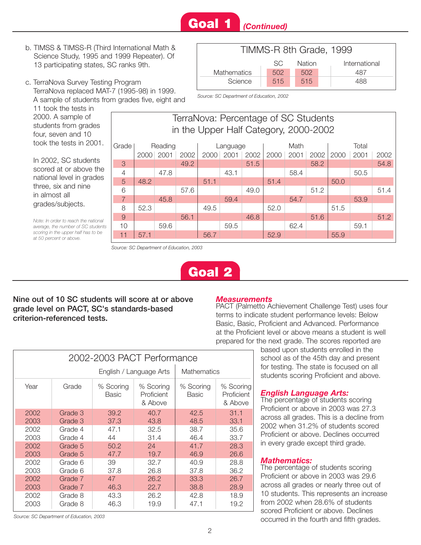## **Goal 1** *(Continued)*

- b. TIMSS & TIMSS-R (Third International Math & Science Study, 1995 and 1999 Repeater). Of 13 participating states, SC ranks 9th.
- c. TerraNova Survey Testing Program TerraNova replaced MAT-7 (1995-98) in 1999. A sample of students from grades five, eight and

11 took the tests in 2000. A sample of students from grades four, seven and 10 took the tests in 200<sup>-</sup>

In 2002, SC students scored at or above the national level in grade three, six and nine in almost all grades/subjects.

*Note: In order to reach the nation average, the number of SC stude scoring in the upper half has to b at 50 percent or above.*



*Source: SC Department of Education, 2002*

|      | TerraNova: Percentage of SC Students<br>in the Upper Half Category, 2000-2002 |      |      |      |      |      |      |      |          |      |      |      |      |  |       |  |
|------|-------------------------------------------------------------------------------|------|------|------|------|------|------|------|----------|------|------|------|------|--|-------|--|
| 1.   | Grade<br>Reading                                                              |      |      |      |      |      |      |      | Language |      |      | Math |      |  | Total |  |
|      |                                                                               | 2000 | 2001 | 2002 | 2000 | 2001 | 2002 | 2000 | 2001     | 2002 | 2000 | 2001 | 2002 |  |       |  |
|      | 3                                                                             |      |      | 49.2 |      |      | 51.5 |      |          | 58.2 |      |      | 54.8 |  |       |  |
| ıе   | $\overline{4}$                                                                |      | 47.8 |      |      | 43.1 |      |      | 58.4     |      |      | 50.5 |      |  |       |  |
| эS   | 5                                                                             | 48.2 |      |      | 51.1 |      |      | 51.4 |          |      | 50.0 |      |      |  |       |  |
|      | 6                                                                             |      |      | 57.6 |      |      | 49.0 |      |          | 51.2 |      |      | 51.4 |  |       |  |
|      | $\overline{7}$                                                                |      | 45.8 |      |      | 59.4 |      |      | 54.7     |      |      | 53.9 |      |  |       |  |
|      | 8                                                                             | 52.3 |      |      | 49.5 |      |      | 52.0 |          |      | 51.5 |      |      |  |       |  |
| ıal  | 9                                                                             |      |      | 56.1 |      |      | 46.8 |      |          | 51.6 |      |      | 51.2 |  |       |  |
| ents | 10                                                                            |      | 59.6 |      |      | 59.5 |      |      | 62.4     |      |      | 59.1 |      |  |       |  |
| e    | 11                                                                            | 57.1 |      |      | 56.7 |      |      | 52.9 |          |      | 55.9 |      |      |  |       |  |

*Source: SC Department of Education, 2003*



#### **Nine out of 10 SC students will score at or above grade level on PACT, SC's standards-based criterion-referenced tests.**

#### *Measurements*

PACT (Palmetto Achievement Challenge Test) uses four terms to indicate student performance levels: Below Basic, Basic, Proficient and Advanced. Performance at the Proficient level or above means a student is well prepared for the next grade. The scores reported are

> based upon students enrolled in the school as of the 45th day and present for testing. The state is focused on all students scoring Proficient and above.

#### *English Language Arts:*

The percentage of students scoring Proficient or above in 2003 was 27.3 across all grades. This is a decline from 2002 when 31.2% of students scored Proficient or above. Declines occurred in every grade except third grade.

#### *Mathematics:*

The percentage of students scoring Proficient or above in 2003 was 29.6 across all grades or nearly three out of 10 students. This represents an increase from 2002 when 28.6% of students scored Proficient or above. Declines occurred in the fourth and fifth grades.

|      |         | English / Language Arts   | <b>Mathematics</b>                 |                           |                                    |
|------|---------|---------------------------|------------------------------------|---------------------------|------------------------------------|
| Year | Grade   | % Scoring<br><b>Basic</b> | % Scoring<br>Proficient<br>& Above | % Scoring<br><b>Basic</b> | % Scoring<br>Proficient<br>& Above |
| 2002 | Grade 3 | 39.2                      | 40.7                               | 42.5                      | 31.1                               |
| 2003 | Grade 3 | 37.3                      | 43.8                               | 48.5                      | 33.1                               |
| 2002 | Grade 4 | 47.1                      | 32.5                               | 38.7                      | 35.6                               |
| 2003 | Grade 4 | 44                        | 31.4                               | 46.4                      | 33.7                               |
| 2002 | Grade 5 | 50.2                      | 24                                 | 41.7                      | 28.3                               |
| 2003 | Grade 5 | 47.7                      | 19.7                               | 46.9                      | 26.6                               |
| 2002 | Grade 6 | 39                        | 32.7                               | 40.9                      | 28.8                               |
| 2003 | Grade 6 | 37.8                      | 26.8                               | 37.8                      | 36.2                               |
| 2002 | Grade 7 | 47                        | 26.2                               | 33.3                      | 26.7                               |
| 2003 | Grade 7 | 46.3                      | 22.7                               | 38.8                      | 28.9                               |
| 2002 | Grade 8 | 43.3                      | 26.2                               | 42.8                      | 18.9                               |
| 2003 | Grade 8 | 46.3                      | 19.9                               | 47.1                      | 19.2                               |
|      |         |                           |                                    |                           |                                    |

2002-2003 PACT Performance

*Source: SC Department of Education, 2003*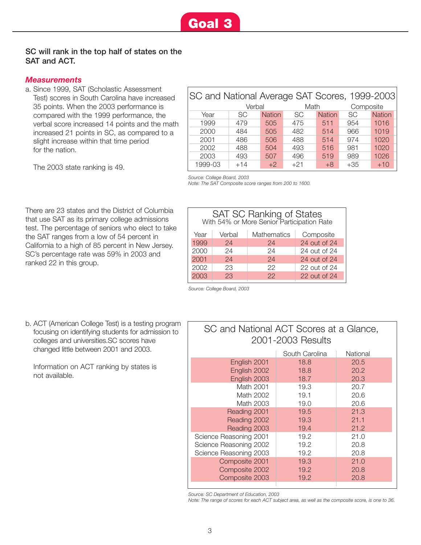#### **SC will rank in the top half of states on the SAT and ACT.**

#### *Measurements*

a. Since 1999, SAT (Scholastic Assessment Test) scores in South Carolina have increased 35 points. When the 2003 performance is compared with the 1999 performance, the verbal score increased 14 points and the math increased 21 points in SC, as compared to a slight increase within that time period for the nation.

|         | SC and National Average SAT Scores, 1999-2003 |               |           |               |           |               |  |  |
|---------|-----------------------------------------------|---------------|-----------|---------------|-----------|---------------|--|--|
|         | Verbal                                        |               | Math      |               |           | Composite     |  |  |
| Year    | <b>SC</b>                                     | <b>Nation</b> | <b>SC</b> | <b>Nation</b> | <b>SC</b> | <b>Nation</b> |  |  |
| 1999    | 479                                           | 505           | 475       | 511           | 954       | 1016          |  |  |
| 2000    | 484                                           | 505           | 482       | 514           | 966       | 1019          |  |  |
| 2001    | 486                                           | 506           | 488       | 514           | 974       | 1020          |  |  |
| 2002    | 488                                           | 504           | 493       | 516           | 981       | 1020          |  |  |
| 2003    | 493                                           | 507           | 496       | 519           | 989       | 1026          |  |  |
| 1999-03 | $+14$                                         | $+2$          | $+21$     | $+8$          | $+35$     | $+10$         |  |  |

The 2003 state ranking is 49.

*Source: College Board, 2003*

*Note: The SAT Composite score ranges from 200 to 1600.*

There are 23 states and the District of Columbia that use SAT as its primary college admissions test. The percentage of seniors who elect to take the SAT ranges from a low of 54 percent in California to a high of 85 percent in New Jersey. SC's percentage rate was 59% in 2003 and ranked 22 in this group.

| SAT SC Ranking of States<br>With 54% or More Senior Participation Rate |                    |              |  |  |  |  |  |  |
|------------------------------------------------------------------------|--------------------|--------------|--|--|--|--|--|--|
| Verbal<br>Composite<br>Year<br>Mathematics                             |                    |              |  |  |  |  |  |  |
| 24                                                                     | 24 out of 24<br>24 |              |  |  |  |  |  |  |
| 24                                                                     | 24                 | 24 out of 24 |  |  |  |  |  |  |
| 24                                                                     | 24                 | 24 out of 24 |  |  |  |  |  |  |
| 23                                                                     | 22<br>22 out of 24 |              |  |  |  |  |  |  |
| 22<br>23<br>22 out of 24                                               |                    |              |  |  |  |  |  |  |
|                                                                        |                    |              |  |  |  |  |  |  |

*Source: College Board, 2003*

b. ACT (American College Test) is a testing program focusing on identifying students for admission to colleges and universities.SC scores have changed little between 2001 and 2003.

Information on ACT ranking by states is not available.

## SC and National ACT Scores at a Glance, 2001-2003 Results

|                        | South Carolina | National |
|------------------------|----------------|----------|
| English 2001           | 18.8           | 20.5     |
| English 2002           | 18.8           | 20.2     |
| English 2003           | 18.7           | 20.3     |
| Math 2001              | 19.3           | 20.7     |
| Math 2002              | 19.1           | 20.6     |
| Math 2003              | 19.0           | 20.6     |
| Reading 2001           | 19.5           | 21.3     |
| Reading 2002           | 19.3           | 21.1     |
| Reading 2003           | 19.4           | 21.2     |
| Science Reasoning 2001 | 19.2           | 21.0     |
| Science Reasoning 2002 | 19.2           | 20.8     |
| Science Reasoning 2003 | 19.2           | 20.8     |
| Composite 2001         | 19.3           | 21.0     |
| Composite 2002         | 19.2           | 20.8     |
| Composite 2003         | 19.2           | 20.8     |
|                        |                |          |

*Source: SC Department of Education, 2003*

*Note: The range of scores for each ACT subject area, as well as the composite score, is one to 36.*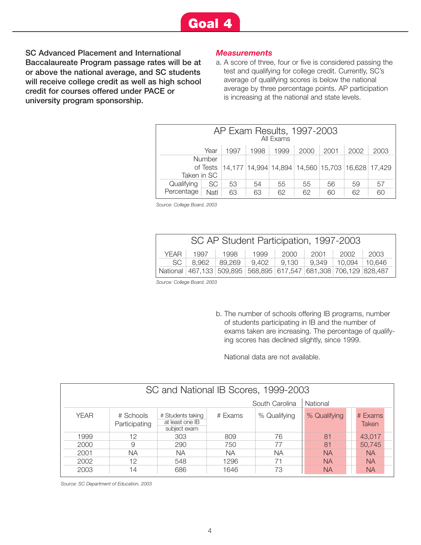**SC Advanced Placement and International Baccalaureate Program passage rates will be at or above the national average, and SC students will receive college credit as well as high school credit for courses offered under PACE or university program sponsorship.**

#### *Measurements*

a. A score of three, four or five is considered passing the test and qualifying for college credit. Currently, SC's average of qualifying scores is below the national average by three percentage points. AP participation is increasing at the national and state levels.

| AP Exam Results, 1997-2003<br>All Fxams                                               |                                                              |    |    |    |    |    |    |    |  |
|---------------------------------------------------------------------------------------|--------------------------------------------------------------|----|----|----|----|----|----|----|--|
|                                                                                       | Year<br>2000<br>1998<br>2001<br>2002<br>1997<br>1999<br>2003 |    |    |    |    |    |    |    |  |
| Number<br>14,177 14,994 14,894 14,560 15,703 16,628 17,429<br>of Tests<br>Taken in SC |                                                              |    |    |    |    |    |    |    |  |
| Qualifying                                                                            | <b>SC</b>                                                    | 53 | 54 | 55 | 55 | 56 | 59 | 57 |  |
| Percentage                                                                            | Natl                                                         | 63 | 63 | 62 | 62 | 60 | 62 | 60 |  |

*Source: College Board, 2003*

| SC AP Student Participation, 1997-2003 |  |                                                                  |  |  |  |  |  |  |
|----------------------------------------|--|------------------------------------------------------------------|--|--|--|--|--|--|
|                                        |  | YEAR 1997 1998 1999 2000 2001 2002 2003                          |  |  |  |  |  |  |
|                                        |  | SC 8,962 89,269 9,402 9,130 9,349 10,094 10,646                  |  |  |  |  |  |  |
|                                        |  | National 467,133 509,895 568,895 617,547 681,308 706,129 828,487 |  |  |  |  |  |  |

*Source: College Board, 2003*

b. The number of schools offering IB programs, number of students participating in IB and the number of exams taken are increasing. The percentage of qualifying scores has declined slightly, since 1999.

National data are not available.

|             | SC and National IB Scores, 1999-2003 |                                                      |           |              |              |  |                  |  |  |  |
|-------------|--------------------------------------|------------------------------------------------------|-----------|--------------|--------------|--|------------------|--|--|--|
|             | South Carolina<br>National           |                                                      |           |              |              |  |                  |  |  |  |
| <b>YEAR</b> | # Schools<br>Participating           | # Students taking<br>at least one IB<br>subject exam | # Exams   | % Qualifying | % Qualifying |  | # Exams<br>Taken |  |  |  |
| 1999        | 12                                   | 303                                                  | 809       | 76           | 81           |  | 43,017           |  |  |  |
| 2000        | 9                                    | 290                                                  | 750       | 77           | 81           |  | 50,745           |  |  |  |
| 2001        | <b>NA</b>                            | NА                                                   | <b>NA</b> | <b>NA</b>    | <b>NA</b>    |  | <b>NA</b>        |  |  |  |
| 2002        | 12                                   | 548                                                  | 1296      | 71           | <b>NA</b>    |  | <b>NA</b>        |  |  |  |
| 2003        | 14                                   | 686                                                  | 1646      | 73           | <b>NA</b>    |  | <b>NA</b>        |  |  |  |

*Source: SC Department of Education, 2003*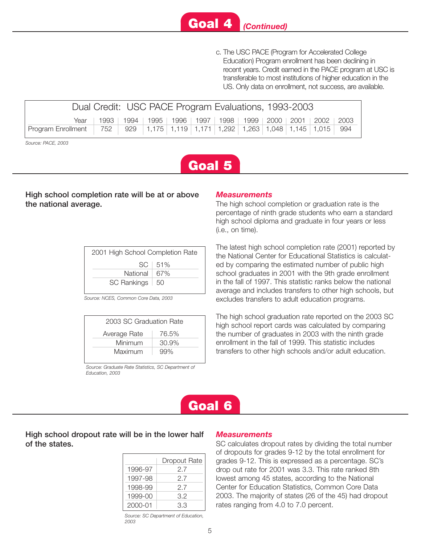

c. The USC PACE (Program for Accelerated College Education) Program enrollment has been declining in recent years. Credit earned in the PACE program at USC is transferable to most institutions of higher education in the US. Only data on enrollment, not success, are available.

| Dual Credit: USC PACE Program Evaluations, 1993-2003                           |                                                                                   |  |  |  |  |  |  |  |  |
|--------------------------------------------------------------------------------|-----------------------------------------------------------------------------------|--|--|--|--|--|--|--|--|
|                                                                                | Year   1993   1994   1995   1996   1997   1998   1999   2000   2001   2002   2003 |  |  |  |  |  |  |  |  |
| Program Enrollment 752 929 1,175 1,119 1,171 1,292 1,263 1,048 1,145 1,015 994 |                                                                                   |  |  |  |  |  |  |  |  |

*Source: PACE, 2003*



#### **High school completion rate will be at or above the national average.**

| 2001 High School Completion Rate |             |  |  |  |  |  |
|----------------------------------|-------------|--|--|--|--|--|
|                                  | $SC + 51\%$ |  |  |  |  |  |
| National $67%$                   |             |  |  |  |  |  |
| SC Rankings   50                 |             |  |  |  |  |  |
|                                  |             |  |  |  |  |  |

*Source: NCES, Common Core Data, 2003*

|              | 2003 SC Graduation Rate |  |  |  |  |  |
|--------------|-------------------------|--|--|--|--|--|
| Average Rate | 76.5%                   |  |  |  |  |  |
| Minimum      | 30.9%                   |  |  |  |  |  |
| Maximum      | 99%                     |  |  |  |  |  |
|              |                         |  |  |  |  |  |

*Source: Graduate Rate Statistics, SC Department of Education, 2003*

#### *Measurements*

The high school completion or graduation rate is the percentage of ninth grade students who earn a standard high school diploma and graduate in four years or less (i.e., on time).

The latest high school completion rate (2001) reported by the National Center for Educational Statistics is calculated by comparing the estimated number of public high school graduates in 2001 with the 9th grade enrollment in the fall of 1997. This statistic ranks below the national average and includes transfers to other high schools, but excludes transfers to adult education programs.

The high school graduation rate reported on the 2003 SC high school report cards was calculated by comparing the number of graduates in 2003 with the ninth grade enrollment in the fall of 1999. This statistic includes transfers to other high schools and/or adult education.

## **Goal 6**

#### **High school dropout rate will be in the lower half of the states.**

|         | Dropout Rate |
|---------|--------------|
| 1996-97 | 27           |
| 1997-98 | 27           |
| 1998-99 | 27           |
| 1999-00 | 3.2          |
| 2000-01 | 33           |

*Source: SC Department of Education, 2003*

#### *Measurements*

SC calculates dropout rates by dividing the total number of dropouts for grades 9-12 by the total enrollment for grades 9-12. This is expressed as a percentage. SC's drop out rate for 2001 was 3.3. This rate ranked 8th lowest among 45 states, according to the National Center for Education Statistics, Common Core Data 2003. The majority of states (26 of the 45) had dropout rates ranging from 4.0 to 7.0 percent.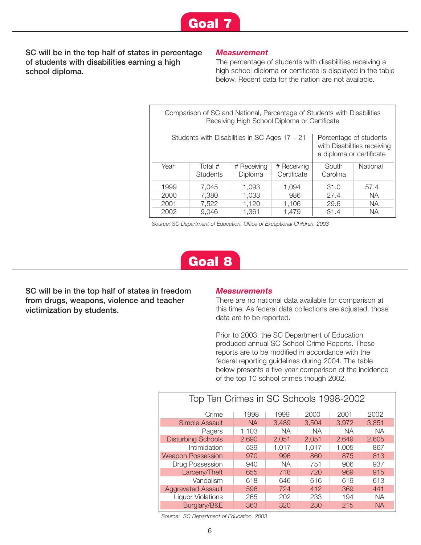

**SC will be in the top half of states in percentage of students with disabilities earning a high school diploma.**

#### *Measurement*

The percentage of students with disabilities receiving a high school diploma or certificate is displayed in the table below. Recent data for the nation are not available.

| Comparison of SC and National, Percentage of Students with Disabilities<br>Receiving High School Diploma or Certificate |                                               |                                                    |                             |                   |           |  |  |  |  |  |
|-------------------------------------------------------------------------------------------------------------------------|-----------------------------------------------|----------------------------------------------------|-----------------------------|-------------------|-----------|--|--|--|--|--|
|                                                                                                                         | Students with Disabilities in SC Ages 17 - 21 | Percentage of students<br>a diploma or certificate | with Disabilities receiving |                   |           |  |  |  |  |  |
| Year                                                                                                                    | Total $#$<br>Students                         | # Receiving<br>Diploma                             | # Receiving<br>Certificate  | South<br>Carolina | National  |  |  |  |  |  |
| 1999                                                                                                                    | 31.0                                          | 57.4                                               |                             |                   |           |  |  |  |  |  |
| 2000                                                                                                                    | 27.4                                          | NA.                                                |                             |                   |           |  |  |  |  |  |
| 2001                                                                                                                    | 7,522                                         | NA.<br>1,120<br>1,106<br>29.6                      |                             |                   |           |  |  |  |  |  |
| 2002                                                                                                                    | 9.046                                         | 1.361                                              | 1.479                       | 31.4              | <b>NA</b> |  |  |  |  |  |

*Source: SC Department of Education, Office of Exceptional Children, 2003*

## **Goal 8**

**SC will be in the top half of states in freedom from drugs, weapons, violence and teacher victimization by students.**

#### *Measurements*

There are no national data available for comparison at this time. As federal data collections are adjusted, those data are to be reported.

Prior to 2003, the SC Department of Education produced annual SC School Crime Reports. These reports are to be modified in accordance with the federal reporting guidelines during 2004. The table below presents a five-year comparison of the incidence of the top 10 school crimes though 2002.

| Top Ten Crimes in SC Schools 1998-2002 |           |           |           |           |           |  |  |  |  |
|----------------------------------------|-----------|-----------|-----------|-----------|-----------|--|--|--|--|
| Crime                                  | 1998      | 1999      | 2000      | 2001      | 2002      |  |  |  |  |
| <b>Simple Assault</b>                  | <b>NA</b> | 3,489     | 3.504     | 3,972     | 3,851     |  |  |  |  |
| Pagers                                 | 1,103     | <b>NA</b> | <b>NA</b> | <b>NA</b> | <b>NA</b> |  |  |  |  |
| <b>Disturbing Schools</b>              | 2,690     | 2,051     | 2,051     | 2,649     | 2,605     |  |  |  |  |
| Intimidation                           | 539       | 1,017     | 1,017     | 1,005     | 867       |  |  |  |  |
| <b>Weapon Possession</b>               | 970       | 996       | 860       | 875       | 813       |  |  |  |  |
| Drug Possession                        | 940       | <b>NA</b> | 751       | 906       | 937       |  |  |  |  |
| Larceny/Theft                          | 655       | 718       | 720       | 969       | 915       |  |  |  |  |
| Vandalism                              | 618       | 646       | 616       | 619       | 613       |  |  |  |  |
| <b>Aggravated Assault</b>              | 596       | 724       | 412       | 369       | 441       |  |  |  |  |
| <b>Liquor Violations</b>               | 265       | 202       | 233       | 194       | <b>NA</b> |  |  |  |  |
| Burglary/B&E                           | 363       | 320       | 230       | 215       | <b>NA</b> |  |  |  |  |

*Source: SC Department of Education, 2003*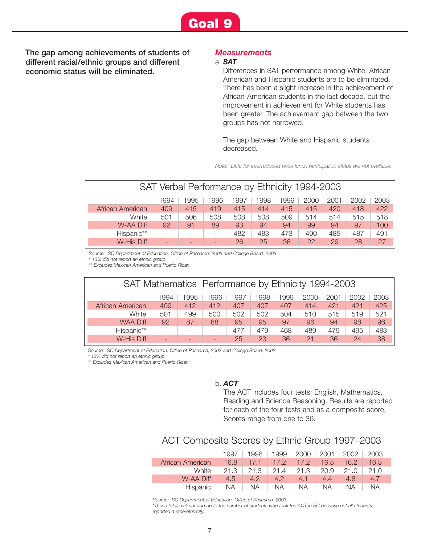

**The gap among achievements of students of different racial/ethnic groups and different economic status will be eliminated.**

#### *Measurements*

#### a. *SAT*

Differences in SAT performance among White, African-American and Hispanic students are to be eliminated. There has been a slight increase in the achievement of African-American students in the last decade, but the improvement in achievement for White students has been greater. The achievement gap between the two groups has not narrowed.

The gap between White and Hispanic students decreased.

*Note: Data for free/reduced price lunch participation status are not available.*

| SAT Verbal Performance by Ethnicity 1994-2003                        |     |                          |                          |     |     |     |     |     |     |      |  |
|----------------------------------------------------------------------|-----|--------------------------|--------------------------|-----|-----|-----|-----|-----|-----|------|--|
| 1999<br>1996<br>1998<br>1995<br>1997<br>2000<br>1994<br>2001<br>2002 |     |                          |                          |     |     |     |     |     |     | 2003 |  |
| African American                                                     | 409 | 415                      | 419                      | 415 | 414 | 415 | 415 | 420 | 418 | 422  |  |
| White                                                                | 501 | 506                      | 508                      | 508 | 508 | 509 | 514 | 514 | 515 | 518  |  |
| <b>W-AA Diff</b>                                                     | 92  | 91                       | 89                       | 93  | 94  | 94  | 99  | 94  | 97  | 100  |  |
| Hispanic**                                                           |     | $\overline{\phantom{0}}$ | $\overline{\phantom{a}}$ | 482 | 483 | 473 | 490 | 485 | 487 | 491  |  |
| W-His Diff                                                           |     |                          | -                        | 26  | 25  | 36  | 22  | 29  | 28  | 27   |  |

*Source: SC Department of Education, Office of Research, 2003 and College Board, 2003*

*\* 13% did not report an ethnic group*

*\*\* Excludes Mexican American and Puerto Rican.*

|                                                                      | SAT Mathematics Performance by Ethnicity 1994-2003 |     |                          |                          |     |     |     |     |     |      |     |  |
|----------------------------------------------------------------------|----------------------------------------------------|-----|--------------------------|--------------------------|-----|-----|-----|-----|-----|------|-----|--|
| 1999<br>1995<br>1996<br>1998<br>2000<br>1997<br>2001<br>1994<br>2002 |                                                    |     |                          |                          |     |     |     |     |     | 2003 |     |  |
|                                                                      | African American                                   | 409 | 412                      | 412                      | 407 | 407 | 407 | 414 | 421 | 421  | 425 |  |
|                                                                      | White                                              | 501 | 499                      | 500                      | 502 | 502 | 504 | 510 | 515 | 519  | 521 |  |
|                                                                      | <b>WAA Diff</b>                                    | 92  | 87                       | 88                       | 95  | 95  | 97  | 96  | 94  | 98   | 96  |  |
|                                                                      | Hispanic**                                         | ۰   | $\overline{\phantom{a}}$ | $\overline{\phantom{a}}$ | 477 | 479 | 468 | 489 | 479 | 495  | 483 |  |
|                                                                      | W-His Diff                                         |     |                          | -                        | 25  | 23  | 36  | 21  | 36  | 24   | 38  |  |

*Source: SC Department of Education, Office of Research, 2003 and College Board, 2003*

*\* 13% did not report an ethnic group.*

*\*\* Excludes Mexican American and Puerto Rican.*

#### b. *ACT*

The ACT includes four tests: English, Mathematics, Reading and Science Reasoning. Results are reported for each of the four tests and as a composite score. Scores range from one to 36.

| ACT Composite Scores by Ethnic Group 1997-2003       |      |      |           |      |           |      |           |  |  |
|------------------------------------------------------|------|------|-----------|------|-----------|------|-----------|--|--|
| 1999<br>2000<br>2001<br>1998<br>2003<br>2002<br>1997 |      |      |           |      |           |      |           |  |  |
| African American                                     | 16.8 | 17.1 | 17.2      | 17.2 | 16.5      | 16.2 | 16.3      |  |  |
| White                                                | 21.3 | 21.3 | 214       | 21.3 | 20.9      | 21.0 | 21.0      |  |  |
| <b>W-AA Diff</b>                                     | 4.5  | 42   | 4.2       | 4.1  | 44        | 4.8  | 4.7       |  |  |
| Hispanic                                             | NA.  | NA.  | <b>NA</b> | NА   | <b>NA</b> | NА   | <b>NA</b> |  |  |

*Source: SC Department of Education, Office of Research, 2003*

*\*These totals will not add up to the number of students who took the ACT in SC because not all students reported a race/ethnicity.*